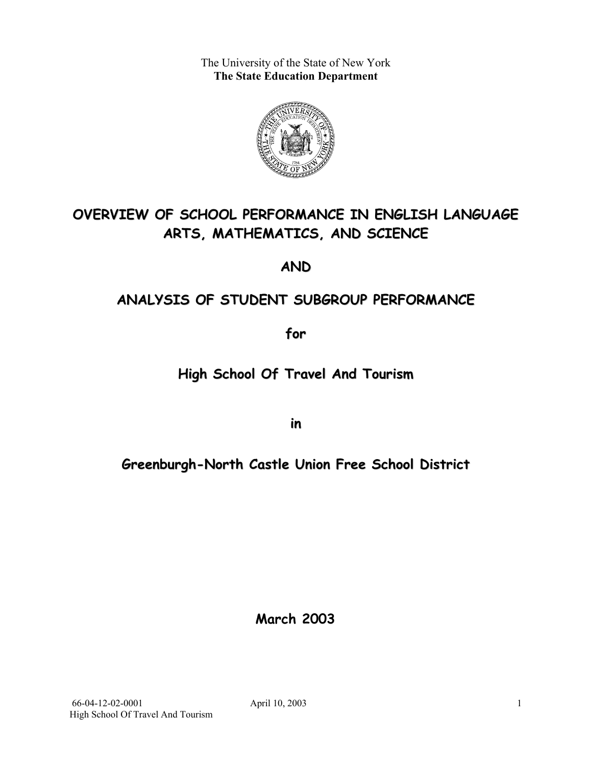The University of the State of New York **The State Education Department** 



## **OVERVIEW OF SCHOOL PERFORMANCE IN ENGLISH LANGUAGE ARTS, MATHEMATICS, AND SCIENCE**

**AND**

## **ANALYSIS OF STUDENT SUBGROUP PERFORMANCE**

**for**

## **High School Of Travel And Tourism**

**in**

## **Greenburgh-North Castle Union Free School District**

**March 2003**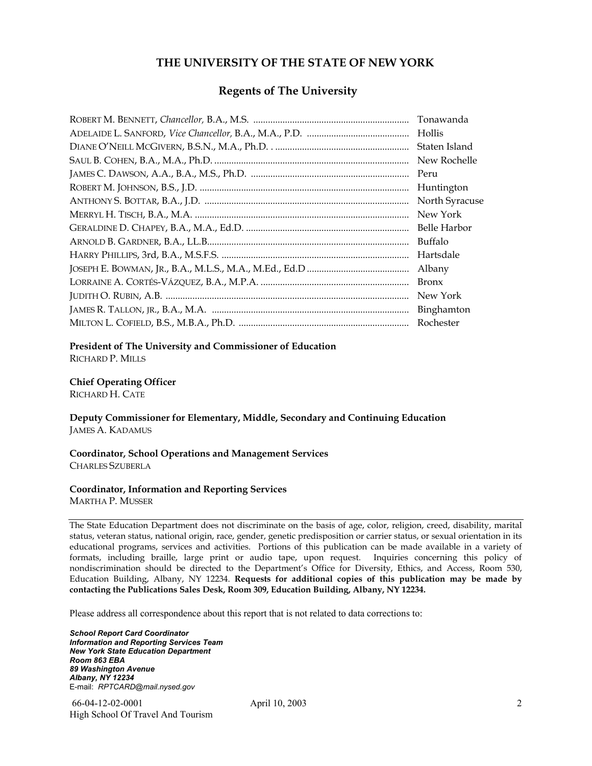#### **THE UNIVERSITY OF THE STATE OF NEW YORK**

#### **Regents of The University**

| Tonawanda      |
|----------------|
| Hollis         |
| Staten Island  |
| New Rochelle   |
| Peru           |
| Huntington     |
| North Syracuse |
| New York       |
| Belle Harbor   |
| Buffalo        |
| Hartsdale      |
| Albany         |
| <b>Bronx</b>   |
| New York       |
| Binghamton     |
| Rochester      |

#### **President of The University and Commissioner of Education**

RICHARD P. MILLS

#### **Chief Operating Officer**

RICHARD H. CATE

**Deputy Commissioner for Elementary, Middle, Secondary and Continuing Education**  JAMES A. KADAMUS

#### **Coordinator, School Operations and Management Services**  CHARLES SZUBERLA

#### **Coordinator, Information and Reporting Services**

MARTHA P. MUSSER

The State Education Department does not discriminate on the basis of age, color, religion, creed, disability, marital status, veteran status, national origin, race, gender, genetic predisposition or carrier status, or sexual orientation in its educational programs, services and activities. Portions of this publication can be made available in a variety of formats, including braille, large print or audio tape, upon request. Inquiries concerning this policy of nondiscrimination should be directed to the Department's Office for Diversity, Ethics, and Access, Room 530, Education Building, Albany, NY 12234. **Requests for additional copies of this publication may be made by contacting the Publications Sales Desk, Room 309, Education Building, Albany, NY 12234.** 

Please address all correspondence about this report that is not related to data corrections to:

*School Report Card Coordinator Information and Reporting Services Team New York State Education Department Room 863 EBA 89 Washington Avenue Albany, NY 12234*  E-mail: *RPTCARD@mail.nysed.gov*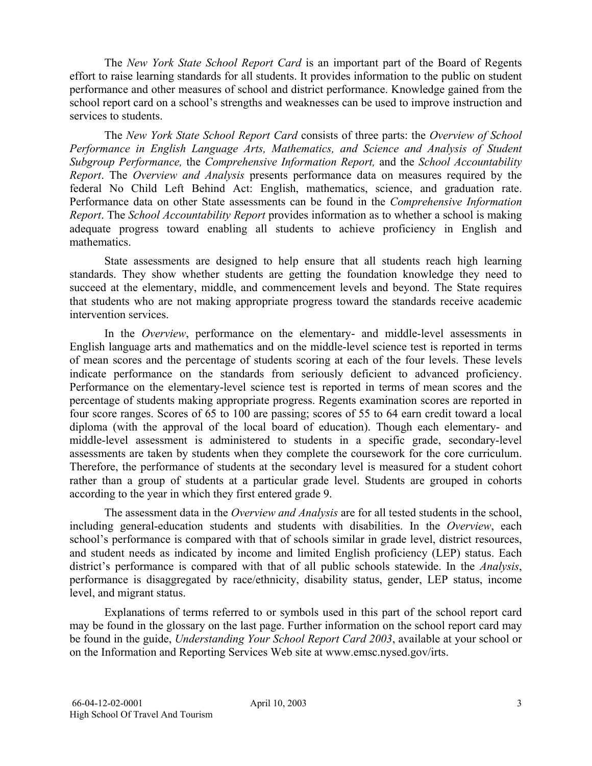The *New York State School Report Card* is an important part of the Board of Regents effort to raise learning standards for all students. It provides information to the public on student performance and other measures of school and district performance. Knowledge gained from the school report card on a school's strengths and weaknesses can be used to improve instruction and services to students.

The *New York State School Report Card* consists of three parts: the *Overview of School Performance in English Language Arts, Mathematics, and Science and Analysis of Student Subgroup Performance,* the *Comprehensive Information Report,* and the *School Accountability Report*. The *Overview and Analysis* presents performance data on measures required by the federal No Child Left Behind Act: English, mathematics, science, and graduation rate. Performance data on other State assessments can be found in the *Comprehensive Information Report*. The *School Accountability Report* provides information as to whether a school is making adequate progress toward enabling all students to achieve proficiency in English and mathematics.

State assessments are designed to help ensure that all students reach high learning standards. They show whether students are getting the foundation knowledge they need to succeed at the elementary, middle, and commencement levels and beyond. The State requires that students who are not making appropriate progress toward the standards receive academic intervention services.

In the *Overview*, performance on the elementary- and middle-level assessments in English language arts and mathematics and on the middle-level science test is reported in terms of mean scores and the percentage of students scoring at each of the four levels. These levels indicate performance on the standards from seriously deficient to advanced proficiency. Performance on the elementary-level science test is reported in terms of mean scores and the percentage of students making appropriate progress. Regents examination scores are reported in four score ranges. Scores of 65 to 100 are passing; scores of 55 to 64 earn credit toward a local diploma (with the approval of the local board of education). Though each elementary- and middle-level assessment is administered to students in a specific grade, secondary-level assessments are taken by students when they complete the coursework for the core curriculum. Therefore, the performance of students at the secondary level is measured for a student cohort rather than a group of students at a particular grade level. Students are grouped in cohorts according to the year in which they first entered grade 9.

The assessment data in the *Overview and Analysis* are for all tested students in the school, including general-education students and students with disabilities. In the *Overview*, each school's performance is compared with that of schools similar in grade level, district resources, and student needs as indicated by income and limited English proficiency (LEP) status. Each district's performance is compared with that of all public schools statewide. In the *Analysis*, performance is disaggregated by race/ethnicity, disability status, gender, LEP status, income level, and migrant status.

Explanations of terms referred to or symbols used in this part of the school report card may be found in the glossary on the last page. Further information on the school report card may be found in the guide, *Understanding Your School Report Card 2003*, available at your school or on the Information and Reporting Services Web site at www.emsc.nysed.gov/irts.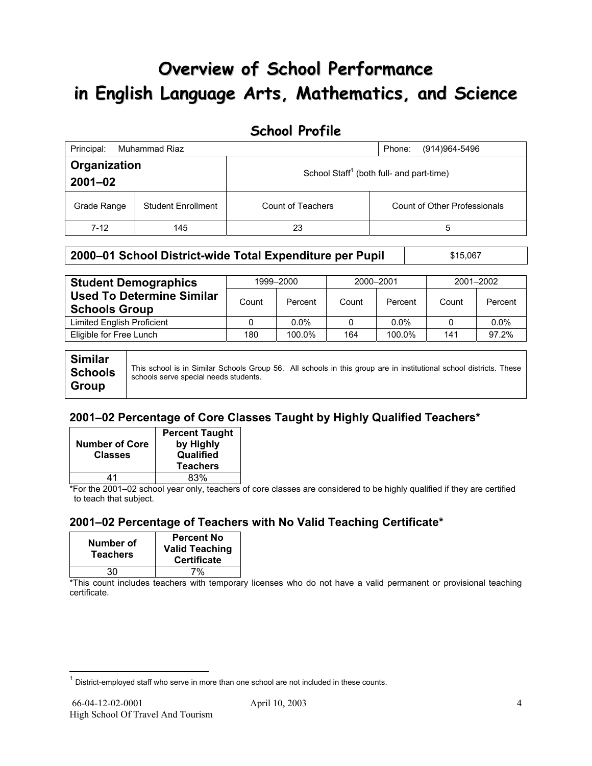# **Overview of School Performance in English Language Arts, Mathematics, and Science**

### **School Profile**

| Principal:<br>Muhammad Riaz<br>(914) 964-5496<br>Phone: |                           |                   |                                                      |
|---------------------------------------------------------|---------------------------|-------------------|------------------------------------------------------|
| Organization<br>$2001 - 02$                             |                           |                   | School Staff <sup>1</sup> (both full- and part-time) |
| Grade Range                                             | <b>Student Enrollment</b> | Count of Teachers | Count of Other Professionals                         |
| $7-12$                                                  | 145                       | 23                | 5                                                    |

#### **2000–01 School District-wide Total Expenditure per Pupil | \$15,067**

| <b>Student Demographics</b>                              | 1999-2000 |         | 2000-2001 |         | 2001-2002 |         |
|----------------------------------------------------------|-----------|---------|-----------|---------|-----------|---------|
| <b>Used To Determine Similar</b><br><b>Schools Group</b> | Count     | Percent | Count     | Percent | Count     | Percent |
| Limited English Proficient                               |           | $0.0\%$ |           | $0.0\%$ |           | $0.0\%$ |
| Eligible for Free Lunch                                  | 180       | 100.0%  | 164       | 100.0%  | 141       | 97.2%   |
|                                                          |           |         |           |         |           |         |

| Similar        |                                                                                                                                                             |  |  |
|----------------|-------------------------------------------------------------------------------------------------------------------------------------------------------------|--|--|
| <b>Schools</b> | This school is in Similar Schools Group 56. All schools in this group are in institutional school districts. These<br>schools serve special needs students. |  |  |
| <b>Group</b>   |                                                                                                                                                             |  |  |

### **2001–02 Percentage of Core Classes Taught by Highly Qualified Teachers\***

| <b>Number of Core</b><br><b>Classes</b> | <b>Percent Taught</b><br>by Highly<br>Qualified<br><b>Teachers</b> |
|-----------------------------------------|--------------------------------------------------------------------|
| 41                                      | 83%                                                                |

\*For the 2001–02 school year only, teachers of core classes are considered to be highly qualified if they are certified to teach that subject.

### **2001–02 Percentage of Teachers with No Valid Teaching Certificate\***

| Number of<br><b>Teachers</b> | <b>Percent No</b><br><b>Valid Teaching</b><br><b>Certificate</b> |
|------------------------------|------------------------------------------------------------------|
| 30                           | 7%                                                               |

\*This count includes teachers with temporary licenses who do not have a valid permanent or provisional teaching certificate.

 $\overline{a}$ 

 $1$  District-employed staff who serve in more than one school are not included in these counts.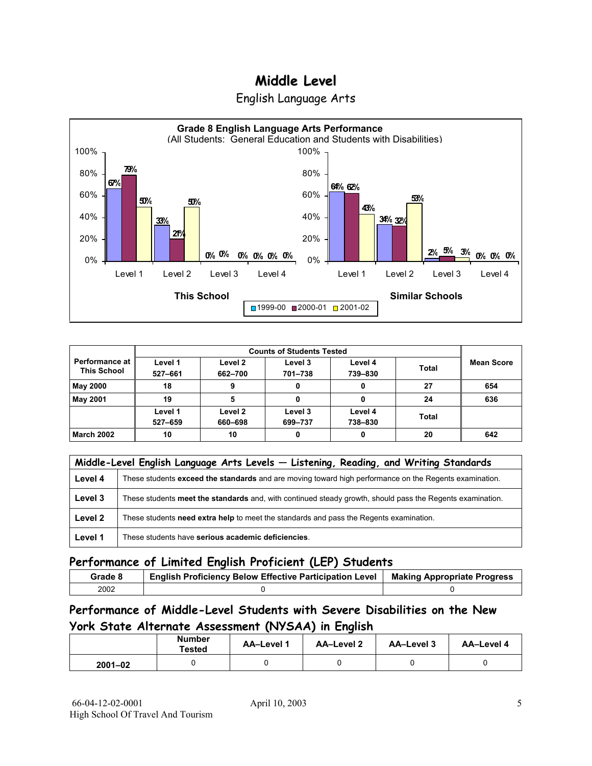



|                                        |                    |                    | <b>Counts of Students Tested</b> |                    |              |                   |
|----------------------------------------|--------------------|--------------------|----------------------------------|--------------------|--------------|-------------------|
| Performance at I<br><b>This School</b> | Level 1<br>527-661 | Level 2<br>662-700 | Level 3<br>701-738               | Level 4<br>739-830 | <b>Total</b> | <b>Mean Score</b> |
| May 2000                               | 18                 |                    |                                  |                    | 27           | 654               |
| <b>May 2001</b>                        | 19                 |                    |                                  |                    | 24           | 636               |
|                                        | Level 1<br>527-659 | Level 2<br>660-698 | Level 3<br>699-737               | Level 4<br>738-830 | <b>Total</b> |                   |
| <b>March 2002</b>                      | 10                 | 10                 | 0                                | 0                  | 20           | 642               |

|         | Middle-Level English Language Arts Levels - Listening, Reading, and Writing Standards                     |
|---------|-----------------------------------------------------------------------------------------------------------|
| Level 4 | These students exceed the standards and are moving toward high performance on the Regents examination.    |
| Level 3 | These students meet the standards and, with continued steady growth, should pass the Regents examination. |
| Level 2 | These students need extra help to meet the standards and pass the Regents examination.                    |
| Level 1 | These students have serious academic deficiencies.                                                        |

### **Performance of Limited English Proficient (LEP) Students**

| Grade 8 | <b>English Proficiency Below Effective Participation Level</b> | <b>Making Appropriate Progress</b> |
|---------|----------------------------------------------------------------|------------------------------------|
| 2002    |                                                                |                                    |

### **Performance of Middle-Level Students with Severe Disabilities on the New York State Alternate Assessment (NYSAA) in English**

|             | Number<br>Tested | AA-Level 1 | AA-Level 2 | AA-Level 3 | AA-Level 4 |
|-------------|------------------|------------|------------|------------|------------|
| $2001 - 02$ |                  |            |            |            |            |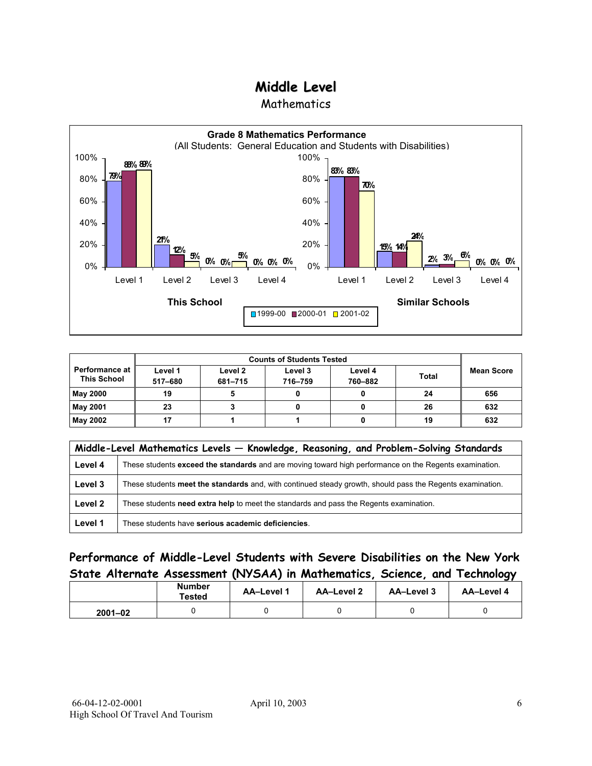**Mathematics** 



|                                               | <b>Counts of Students Tested</b> |                    |                    |                    |              |                   |
|-----------------------------------------------|----------------------------------|--------------------|--------------------|--------------------|--------------|-------------------|
| <b>Performance at I</b><br><b>This School</b> | Level 1<br>517-680               | Level 2<br>681-715 | Level 3<br>716-759 | Level 4<br>760-882 | <b>Total</b> | <b>Mean Score</b> |
| <b>May 2000</b>                               | 19                               |                    |                    |                    | 24           | 656               |
| <b>May 2001</b>                               | 23                               |                    |                    |                    | 26           | 632               |
| May 2002                                      | 17                               |                    |                    |                    | 19           | 632               |

|         | Middle-Level Mathematics Levels - Knowledge, Reasoning, and Problem-Solving Standards                     |  |  |
|---------|-----------------------------------------------------------------------------------------------------------|--|--|
| Level 4 | These students exceed the standards and are moving toward high performance on the Regents examination.    |  |  |
| Level 3 | These students meet the standards and, with continued steady growth, should pass the Regents examination. |  |  |
| Level 2 | These students need extra help to meet the standards and pass the Regents examination.                    |  |  |
| Level 1 | These students have serious academic deficiencies.                                                        |  |  |

### **Performance of Middle-Level Students with Severe Disabilities on the New York State Alternate Assessment (NYSAA) in Mathematics, Science, and Technology**

|             | <b>Number</b><br>Tested | <b>AA-Level 1</b> | AA-Level 2 | AA-Level 3 | AA-Level 4 |  |
|-------------|-------------------------|-------------------|------------|------------|------------|--|
| $2001 - 02$ |                         |                   |            |            |            |  |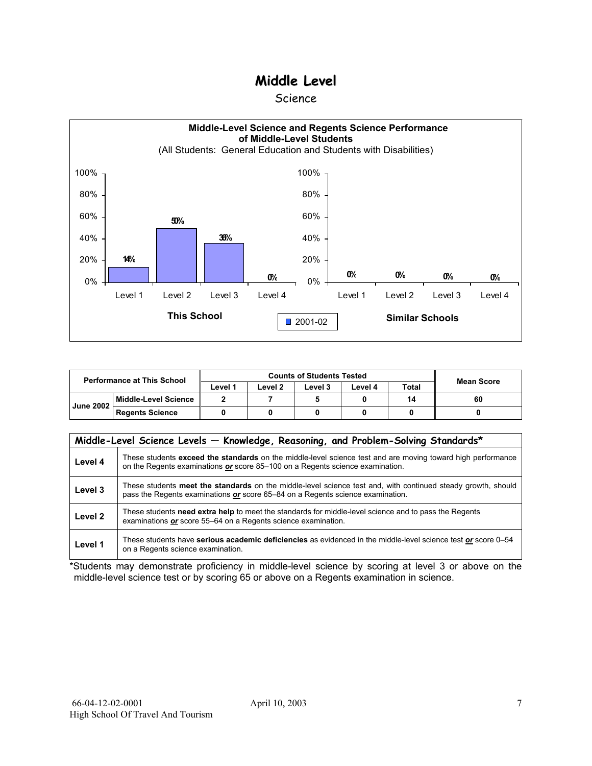#### Science



|                  | <b>Performance at This School</b> |                    | <b>Counts of Students Tested</b> | Mean Score |         |              |    |
|------------------|-----------------------------------|--------------------|----------------------------------|------------|---------|--------------|----|
|                  |                                   | ∟evel <sup>1</sup> | ∟evel 2                          | Level 3    | Level 4 | <b>Total</b> |    |
| <b>June 2002</b> | Middle-Level Science              |                    |                                  |            |         | 14           | 60 |
|                  | <b>Regents Science</b>            |                    |                                  |            |         |              |    |

| Middle-Level Science Levels - Knowledge, Reasoning, and Problem-Solving Standards* |                                                                                                                                                                                                |  |  |  |  |  |  |  |
|------------------------------------------------------------------------------------|------------------------------------------------------------------------------------------------------------------------------------------------------------------------------------------------|--|--|--|--|--|--|--|
| Level 4                                                                            | These students exceed the standards on the middle-level science test and are moving toward high performance<br>on the Regents examinations or score 85-100 on a Regents science examination.   |  |  |  |  |  |  |  |
| Level 3                                                                            | These students meet the standards on the middle-level science test and, with continued steady growth, should<br>pass the Regents examinations or score 65–84 on a Regents science examination. |  |  |  |  |  |  |  |
| Level <sub>2</sub>                                                                 | These students need extra help to meet the standards for middle-level science and to pass the Regents<br>examinations or score 55–64 on a Regents science examination.                         |  |  |  |  |  |  |  |
| Level 1                                                                            | These students have serious academic deficiencies as evidenced in the middle-level science test or score 0–54<br>on a Regents science examination.                                             |  |  |  |  |  |  |  |

\*Students may demonstrate proficiency in middle-level science by scoring at level 3 or above on the middle-level science test or by scoring 65 or above on a Regents examination in science.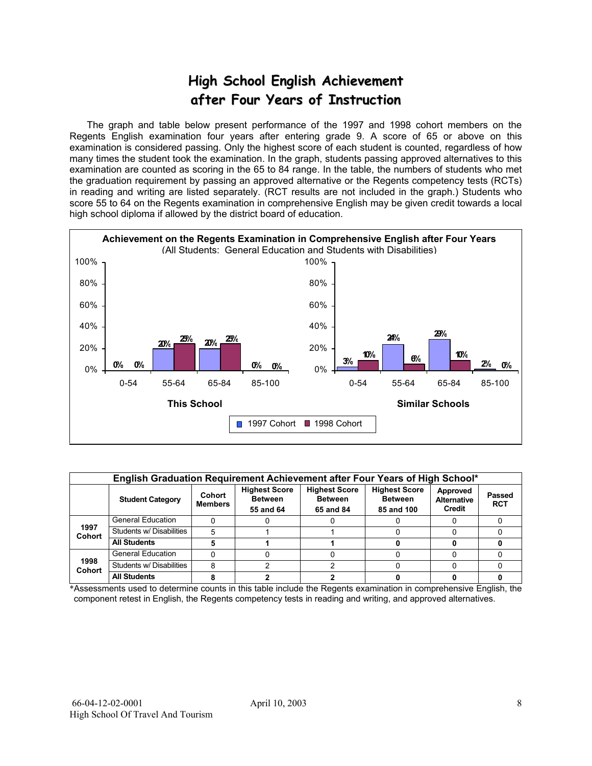## **High School English Achievement after Four Years of Instruction**

 The graph and table below present performance of the 1997 and 1998 cohort members on the Regents English examination four years after entering grade 9. A score of 65 or above on this examination is considered passing. Only the highest score of each student is counted, regardless of how many times the student took the examination. In the graph, students passing approved alternatives to this examination are counted as scoring in the 65 to 84 range. In the table, the numbers of students who met the graduation requirement by passing an approved alternative or the Regents competency tests (RCTs) in reading and writing are listed separately. (RCT results are not included in the graph.) Students who score 55 to 64 on the Regents examination in comprehensive English may be given credit towards a local high school diploma if allowed by the district board of education.



| English Graduation Requirement Achievement after Four Years of High School* |                          |                          |                                                     |                                                     |                                                      |                                          |                      |  |  |  |
|-----------------------------------------------------------------------------|--------------------------|--------------------------|-----------------------------------------------------|-----------------------------------------------------|------------------------------------------------------|------------------------------------------|----------------------|--|--|--|
|                                                                             | <b>Student Category</b>  | Cohort<br><b>Members</b> | <b>Highest Score</b><br><b>Between</b><br>55 and 64 | <b>Highest Score</b><br><b>Between</b><br>65 and 84 | <b>Highest Score</b><br><b>Between</b><br>85 and 100 | Approved<br><b>Alternative</b><br>Credit | Passed<br><b>RCT</b> |  |  |  |
|                                                                             | <b>General Education</b> |                          |                                                     |                                                     |                                                      |                                          |                      |  |  |  |
| 1997<br><b>Cohort</b>                                                       | Students w/ Disabilities |                          |                                                     |                                                     |                                                      |                                          |                      |  |  |  |
|                                                                             | <b>All Students</b>      |                          |                                                     |                                                     |                                                      |                                          |                      |  |  |  |
|                                                                             | <b>General Education</b> |                          |                                                     |                                                     |                                                      |                                          |                      |  |  |  |
| 1998<br><b>Cohort</b>                                                       | Students w/ Disabilities | я                        |                                                     |                                                     |                                                      |                                          |                      |  |  |  |
|                                                                             | <b>All Students</b>      |                          |                                                     |                                                     |                                                      |                                          |                      |  |  |  |

\*Assessments used to determine counts in this table include the Regents examination in comprehensive English, the component retest in English, the Regents competency tests in reading and writing, and approved alternatives.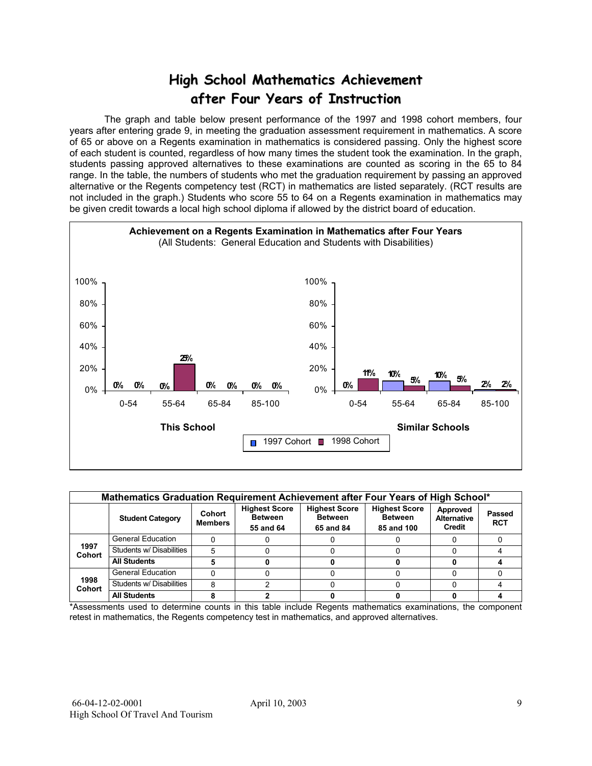### **High School Mathematics Achievement after Four Years of Instruction**

 The graph and table below present performance of the 1997 and 1998 cohort members, four years after entering grade 9, in meeting the graduation assessment requirement in mathematics. A score of 65 or above on a Regents examination in mathematics is considered passing. Only the highest score of each student is counted, regardless of how many times the student took the examination. In the graph, students passing approved alternatives to these examinations are counted as scoring in the 65 to 84 range. In the table, the numbers of students who met the graduation requirement by passing an approved alternative or the Regents competency test (RCT) in mathematics are listed separately. (RCT results are not included in the graph.) Students who score 55 to 64 on a Regents examination in mathematics may be given credit towards a local high school diploma if allowed by the district board of education.



| Mathematics Graduation Requirement Achievement after Four Years of High School* |                          |                          |                                                     |                                                     |                                                      |                                          |                      |  |  |  |
|---------------------------------------------------------------------------------|--------------------------|--------------------------|-----------------------------------------------------|-----------------------------------------------------|------------------------------------------------------|------------------------------------------|----------------------|--|--|--|
|                                                                                 | <b>Student Category</b>  | Cohort<br><b>Members</b> | <b>Highest Score</b><br><b>Between</b><br>55 and 64 | <b>Highest Score</b><br><b>Between</b><br>65 and 84 | <b>Highest Score</b><br><b>Between</b><br>85 and 100 | Approved<br><b>Alternative</b><br>Credit | Passed<br><b>RCT</b> |  |  |  |
|                                                                                 | <b>General Education</b> |                          |                                                     |                                                     |                                                      |                                          |                      |  |  |  |
| 1997<br><b>Cohort</b>                                                           | Students w/ Disabilities | 5                        |                                                     |                                                     |                                                      |                                          |                      |  |  |  |
|                                                                                 | <b>All Students</b>      |                          |                                                     |                                                     |                                                      |                                          |                      |  |  |  |
|                                                                                 | <b>General Education</b> |                          |                                                     |                                                     |                                                      |                                          |                      |  |  |  |
| 1998<br><b>Cohort</b>                                                           | Students w/ Disabilities | 8                        |                                                     |                                                     |                                                      |                                          |                      |  |  |  |
|                                                                                 | <b>All Students</b>      |                          |                                                     |                                                     |                                                      |                                          |                      |  |  |  |

\*Assessments used to determine counts in this table include Regents mathematics examinations, the component retest in mathematics, the Regents competency test in mathematics, and approved alternatives.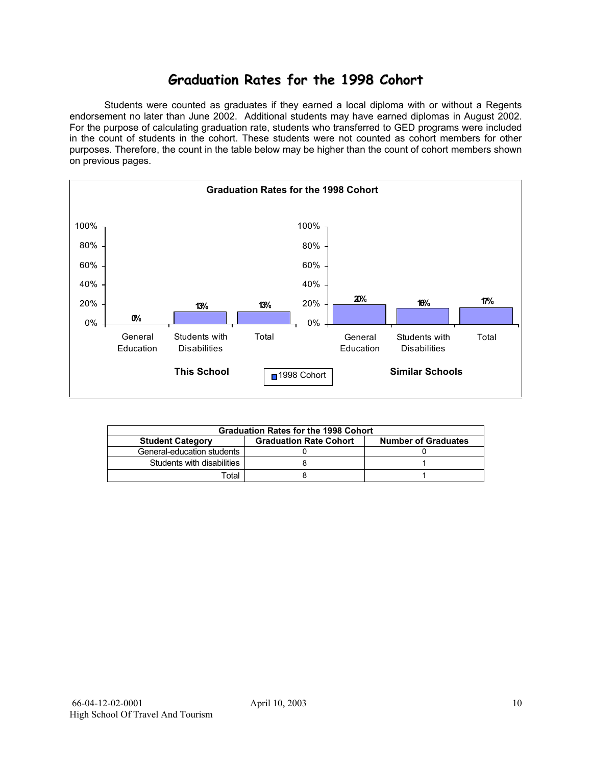### **Graduation Rates for the 1998 Cohort**

 Students were counted as graduates if they earned a local diploma with or without a Regents endorsement no later than June 2002. Additional students may have earned diplomas in August 2002. For the purpose of calculating graduation rate, students who transferred to GED programs were included in the count of students in the cohort. These students were not counted as cohort members for other purposes. Therefore, the count in the table below may be higher than the count of cohort members shown on previous pages.



| <b>Graduation Rates for the 1998 Cohort</b>                                            |  |  |  |  |  |  |  |  |  |
|----------------------------------------------------------------------------------------|--|--|--|--|--|--|--|--|--|
| <b>Graduation Rate Cohort</b><br><b>Number of Graduates</b><br><b>Student Category</b> |  |  |  |  |  |  |  |  |  |
| General-education students                                                             |  |  |  |  |  |  |  |  |  |
| Students with disabilities                                                             |  |  |  |  |  |  |  |  |  |
| Total                                                                                  |  |  |  |  |  |  |  |  |  |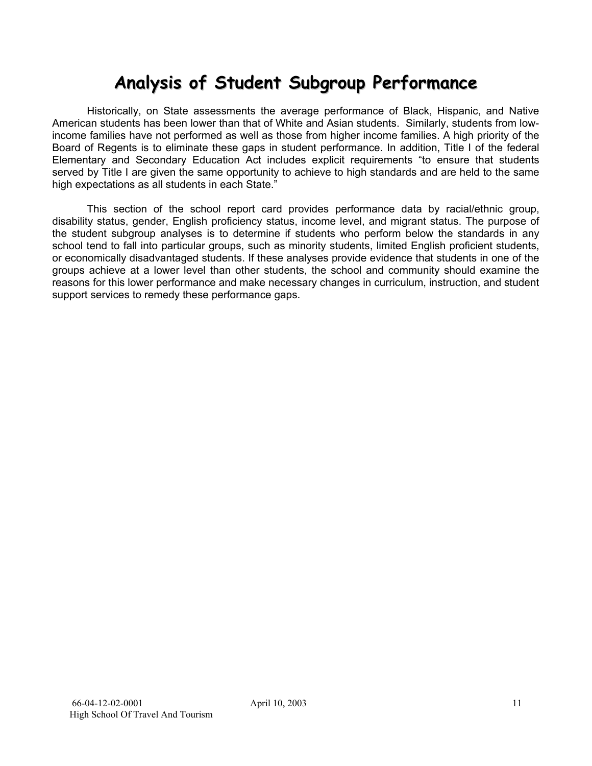# **Analysis of Student Subgroup Performance**

Historically, on State assessments the average performance of Black, Hispanic, and Native American students has been lower than that of White and Asian students. Similarly, students from lowincome families have not performed as well as those from higher income families. A high priority of the Board of Regents is to eliminate these gaps in student performance. In addition, Title I of the federal Elementary and Secondary Education Act includes explicit requirements "to ensure that students served by Title I are given the same opportunity to achieve to high standards and are held to the same high expectations as all students in each State."

This section of the school report card provides performance data by racial/ethnic group, disability status, gender, English proficiency status, income level, and migrant status. The purpose of the student subgroup analyses is to determine if students who perform below the standards in any school tend to fall into particular groups, such as minority students, limited English proficient students, or economically disadvantaged students. If these analyses provide evidence that students in one of the groups achieve at a lower level than other students, the school and community should examine the reasons for this lower performance and make necessary changes in curriculum, instruction, and student support services to remedy these performance gaps.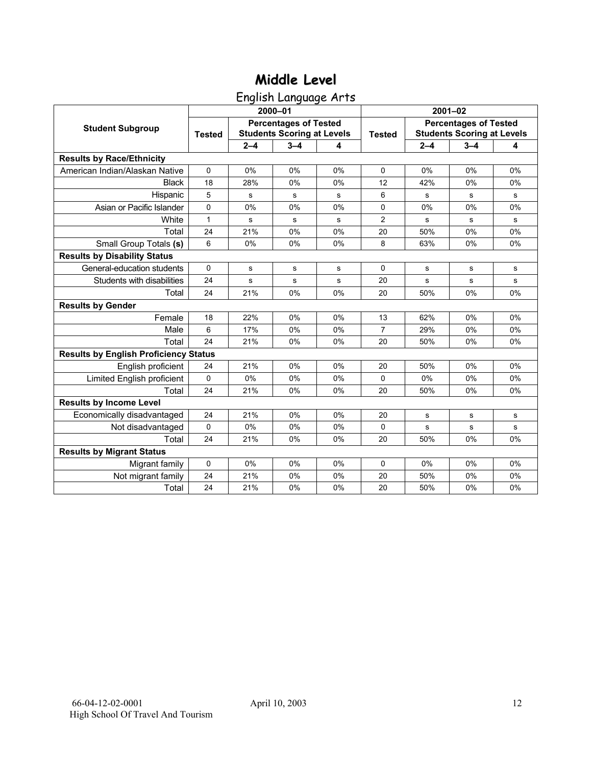English Language Arts

|                                              |               |         | 2000-01                                                           |    | $2001 - 02$    |         |                                                                   |             |  |  |
|----------------------------------------------|---------------|---------|-------------------------------------------------------------------|----|----------------|---------|-------------------------------------------------------------------|-------------|--|--|
| <b>Student Subgroup</b>                      | <b>Tested</b> |         | <b>Percentages of Tested</b><br><b>Students Scoring at Levels</b> |    | <b>Tested</b>  |         | <b>Percentages of Tested</b><br><b>Students Scoring at Levels</b> |             |  |  |
|                                              |               | $2 - 4$ | $3 - 4$                                                           | 4  |                | $2 - 4$ | $3 - 4$                                                           | 4           |  |  |
| <b>Results by Race/Ethnicity</b>             |               |         |                                                                   |    |                |         |                                                                   |             |  |  |
| American Indian/Alaskan Native               | $\mathbf 0$   | 0%      | 0%                                                                | 0% | 0              | 0%      | 0%                                                                | 0%          |  |  |
| <b>Black</b>                                 | 18            | 28%     | 0%                                                                | 0% | 12             | 42%     | $0\%$                                                             | 0%          |  |  |
| Hispanic                                     | 5             | s       | s                                                                 | s  | 6              | s       | s                                                                 | s           |  |  |
| Asian or Pacific Islander                    | 0             | 0%      | 0%                                                                | 0% | 0              | 0%      | 0%                                                                | 0%          |  |  |
| White                                        | 1             | s       | s                                                                 | s  | $\overline{c}$ | s       | s                                                                 | s           |  |  |
| Total                                        | 24            | 21%     | 0%                                                                | 0% | 20             | 50%     | 0%                                                                | 0%          |  |  |
| Small Group Totals (s)                       | 6             | 0%      | 0%                                                                | 0% | 8              | 63%     | 0%                                                                | 0%          |  |  |
| <b>Results by Disability Status</b>          |               |         |                                                                   |    |                |         |                                                                   |             |  |  |
| General-education students                   | $\Omega$      | s       | s                                                                 | s  | $\Omega$       | s       | s                                                                 | s           |  |  |
| Students with disabilities                   | 24            | s       | s                                                                 | s  | 20             | s       | ${\bf s}$                                                         | s           |  |  |
| Total                                        | 24            | 21%     | 0%                                                                | 0% | 20             | 50%     | 0%                                                                | 0%          |  |  |
| <b>Results by Gender</b>                     |               |         |                                                                   |    |                |         |                                                                   |             |  |  |
| Female                                       | 18            | 22%     | 0%                                                                | 0% | 13             | 62%     | 0%                                                                | 0%          |  |  |
| Male                                         | 6             | 17%     | 0%                                                                | 0% | $\overline{7}$ | 29%     | 0%                                                                | 0%          |  |  |
| Total                                        | 24            | 21%     | 0%                                                                | 0% | 20             | 50%     | 0%                                                                | 0%          |  |  |
| <b>Results by English Proficiency Status</b> |               |         |                                                                   |    |                |         |                                                                   |             |  |  |
| English proficient                           | 24            | 21%     | 0%                                                                | 0% | 20             | 50%     | 0%                                                                | 0%          |  |  |
| Limited English proficient                   | 0             | 0%      | 0%                                                                | 0% | $\Omega$       | 0%      | 0%                                                                | 0%          |  |  |
| Total                                        | 24            | 21%     | 0%                                                                | 0% | 20             | 50%     | 0%                                                                | 0%          |  |  |
| <b>Results by Income Level</b>               |               |         |                                                                   |    |                |         |                                                                   |             |  |  |
| Economically disadvantaged                   | 24            | 21%     | 0%                                                                | 0% | 20             | s       | s                                                                 | s           |  |  |
| Not disadvantaged                            | $\Omega$      | 0%      | 0%                                                                | 0% | 0              | s       | s                                                                 | $\mathbf s$ |  |  |
| Total                                        | 24            | 21%     | 0%                                                                | 0% | 20             | 50%     | 0%                                                                | 0%          |  |  |
| <b>Results by Migrant Status</b>             |               |         |                                                                   |    |                |         |                                                                   |             |  |  |
| Migrant family                               | 0             | 0%      | 0%                                                                | 0% | 0              | 0%      | 0%                                                                | 0%          |  |  |
| Not migrant family                           | 24            | 21%     | 0%                                                                | 0% | 20             | 50%     | 0%                                                                | 0%          |  |  |
| Total                                        | 24            | 21%     | 0%                                                                | 0% | 20             | 50%     | 0%                                                                | 0%          |  |  |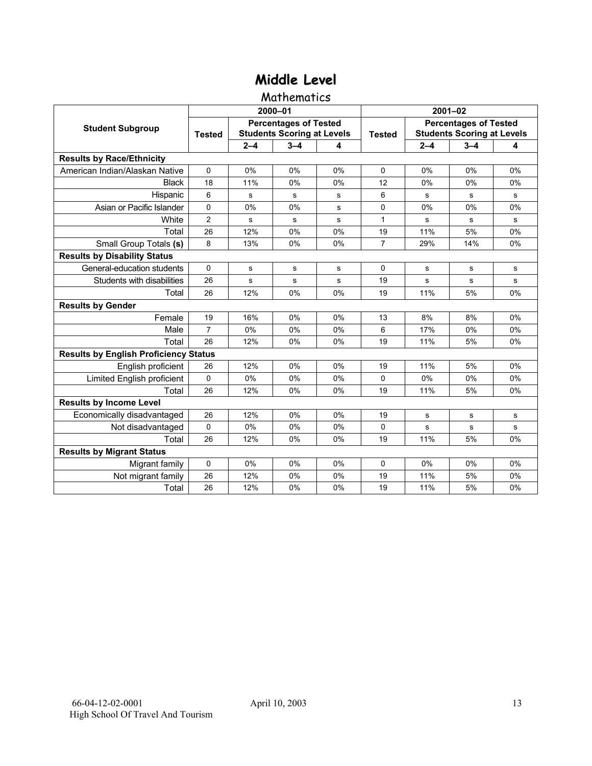#### **Mathematics**

|                                              |                |         | 2000-01                                                           |    | $2001 - 02$    |             |                                                                   |             |  |  |
|----------------------------------------------|----------------|---------|-------------------------------------------------------------------|----|----------------|-------------|-------------------------------------------------------------------|-------------|--|--|
| <b>Student Subgroup</b>                      | <b>Tested</b>  |         | <b>Percentages of Tested</b><br><b>Students Scoring at Levels</b> |    | <b>Tested</b>  |             | <b>Percentages of Tested</b><br><b>Students Scoring at Levels</b> |             |  |  |
|                                              |                | $2 - 4$ | $3 - 4$                                                           | 4  |                | $2 - 4$     | $3 - 4$                                                           | 4           |  |  |
| <b>Results by Race/Ethnicity</b>             |                |         |                                                                   |    |                |             |                                                                   |             |  |  |
| American Indian/Alaskan Native               | $\Omega$       | 0%      | 0%                                                                | 0% | $\Omega$       | 0%          | 0%                                                                | 0%          |  |  |
| <b>Black</b>                                 | 18             | 11%     | 0%                                                                | 0% | 12             | 0%          | 0%                                                                | 0%          |  |  |
| Hispanic                                     | 6              | s       | s                                                                 | s  | 6              | s           | s                                                                 | s           |  |  |
| Asian or Pacific Islander                    | 0              | 0%      | 0%                                                                | s  | $\Omega$       | 0%          | 0%                                                                | 0%          |  |  |
| White                                        | $\overline{2}$ | s       | s                                                                 | s  | $\mathbf{1}$   | s           | s                                                                 | s           |  |  |
| Total                                        | 26             | 12%     | 0%                                                                | 0% | 19             | 11%         | 5%                                                                | 0%          |  |  |
| Small Group Totals (s)                       | 8              | 13%     | 0%                                                                | 0% | $\overline{7}$ | 29%         | 14%                                                               | $0\%$       |  |  |
| <b>Results by Disability Status</b>          |                |         |                                                                   |    |                |             |                                                                   |             |  |  |
| General-education students                   | $\Omega$       | s       | s                                                                 | s  | 0              | s           | s                                                                 | s           |  |  |
| Students with disabilities                   | 26             | s       | s                                                                 | s  | 19             | $\mathbf s$ | s                                                                 | $\mathbf s$ |  |  |
| Total                                        | 26             | 12%     | 0%                                                                | 0% | 19             | 11%         | 5%                                                                | 0%          |  |  |
| <b>Results by Gender</b>                     |                |         |                                                                   |    |                |             |                                                                   |             |  |  |
| Female                                       | 19             | 16%     | 0%                                                                | 0% | 13             | 8%          | 8%                                                                | 0%          |  |  |
| Male                                         | $\overline{7}$ | 0%      | 0%                                                                | 0% | 6              | 17%         | 0%                                                                | 0%          |  |  |
| Total                                        | 26             | 12%     | 0%                                                                | 0% | 19             | 11%         | 5%                                                                | 0%          |  |  |
| <b>Results by English Proficiency Status</b> |                |         |                                                                   |    |                |             |                                                                   |             |  |  |
| English proficient                           | 26             | 12%     | 0%                                                                | 0% | 19             | 11%         | 5%                                                                | 0%          |  |  |
| Limited English proficient                   | $\Omega$       | 0%      | 0%                                                                | 0% | $\mathbf 0$    | 0%          | 0%                                                                | 0%          |  |  |
| Total                                        | 26             | 12%     | 0%                                                                | 0% | 19             | 11%         | 5%                                                                | 0%          |  |  |
| <b>Results by Income Level</b>               |                |         |                                                                   |    |                |             |                                                                   |             |  |  |
| Economically disadvantaged                   | 26             | 12%     | 0%                                                                | 0% | 19             | s           | s                                                                 | s           |  |  |
| Not disadvantaged                            | 0              | 0%      | 0%                                                                | 0% | 0              | $\mathbf s$ | $\mathbf s$                                                       | s           |  |  |
| Total                                        | 26             | 12%     | 0%                                                                | 0% | 19             | 11%         | 5%                                                                | 0%          |  |  |
| <b>Results by Migrant Status</b>             |                |         |                                                                   |    |                |             |                                                                   |             |  |  |
| Migrant family                               | 0              | 0%      | 0%                                                                | 0% | $\Omega$       | 0%          | 0%                                                                | 0%          |  |  |
| Not migrant family                           | 26             | 12%     | 0%                                                                | 0% | 19             | 11%         | 5%                                                                | 0%          |  |  |
| Total                                        | 26             | 12%     | 0%                                                                | 0% | 19             | 11%         | 5%                                                                | 0%          |  |  |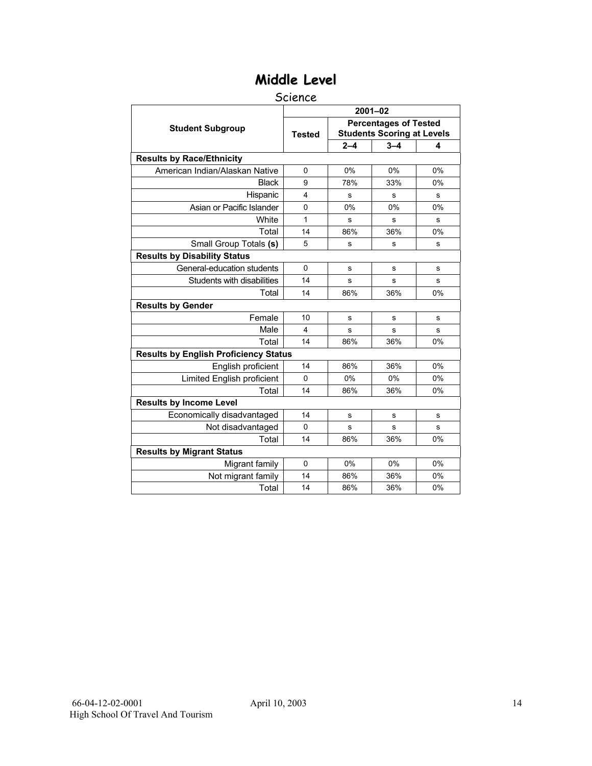#### Science

|                                              | $2001 - 02$   |         |                                                                   |    |  |  |
|----------------------------------------------|---------------|---------|-------------------------------------------------------------------|----|--|--|
| <b>Student Subgroup</b>                      | <b>Tested</b> |         | <b>Percentages of Tested</b><br><b>Students Scoring at Levels</b> |    |  |  |
|                                              |               | $2 - 4$ | $3 - 4$                                                           | 4  |  |  |
| <b>Results by Race/Ethnicity</b>             |               |         |                                                                   |    |  |  |
| American Indian/Alaskan Native               | $\Omega$      | 0%      | 0%                                                                | 0% |  |  |
| <b>Black</b>                                 | 9             | 78%     | 33%                                                               | 0% |  |  |
| Hispanic                                     | 4             | s       | s                                                                 | s  |  |  |
| Asian or Pacific Islander                    | $\mathbf{0}$  | 0%      | 0%                                                                | 0% |  |  |
| White                                        | 1             | s       | s                                                                 | s  |  |  |
| Total                                        | 14            | 86%     | 36%                                                               | 0% |  |  |
| Small Group Totals (s)                       | 5             | s       | s                                                                 | s  |  |  |
| <b>Results by Disability Status</b>          |               |         |                                                                   |    |  |  |
| General-education students                   | $\mathbf 0$   | s       | s                                                                 | s  |  |  |
| Students with disabilities                   | 14            | s       | s                                                                 | s  |  |  |
| Total                                        | 14            | 86%     | 36%                                                               | 0% |  |  |
| <b>Results by Gender</b>                     |               |         |                                                                   |    |  |  |
| Female                                       | 10            | s       | s                                                                 | s  |  |  |
| Male                                         | 4             | s       | s                                                                 | s  |  |  |
| Total                                        | 14            | 86%     | 36%                                                               | 0% |  |  |
| <b>Results by English Proficiency Status</b> |               |         |                                                                   |    |  |  |
| English proficient                           | 14            | 86%     | 36%                                                               | 0% |  |  |
| Limited English proficient                   | $\Omega$      | 0%      | 0%                                                                | 0% |  |  |
| Total                                        | 14            | 86%     | 36%                                                               | 0% |  |  |
| <b>Results by Income Level</b>               |               |         |                                                                   |    |  |  |
| Economically disadvantaged                   | 14            | s       | s                                                                 | s  |  |  |
| Not disadvantaged                            | $\mathbf 0$   | s       | s                                                                 | s  |  |  |
| Total                                        | 14            | 86%     | 36%                                                               | 0% |  |  |
| <b>Results by Migrant Status</b>             |               |         |                                                                   |    |  |  |
| Migrant family                               | $\mathbf 0$   | 0%      | 0%                                                                | 0% |  |  |
| Not migrant family                           | 14            | 86%     | 36%                                                               | 0% |  |  |
| Total                                        | 14            | 86%     | 36%                                                               | 0% |  |  |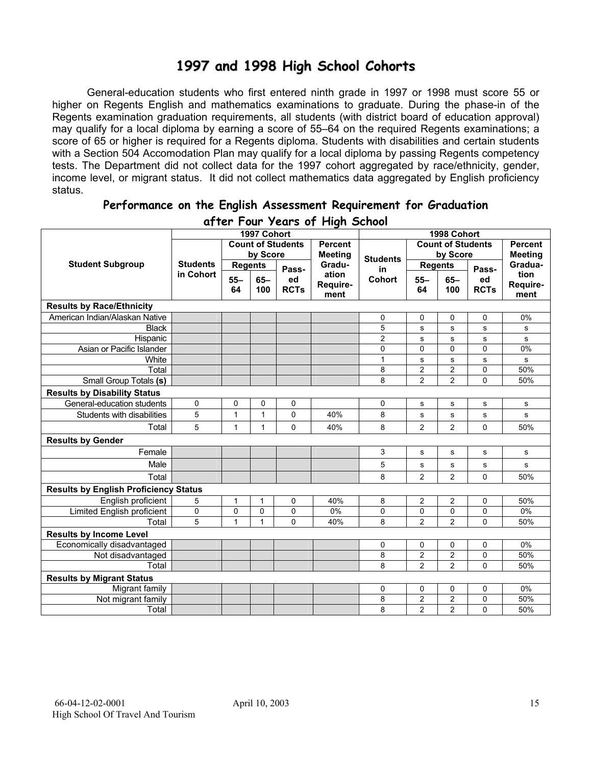### **1997 and 1998 High School Cohorts**

General-education students who first entered ninth grade in 1997 or 1998 must score 55 or higher on Regents English and mathematics examinations to graduate. During the phase-in of the Regents examination graduation requirements, all students (with district board of education approval) may qualify for a local diploma by earning a score of 55–64 on the required Regents examinations; a score of 65 or higher is required for a Regents diploma. Students with disabilities and certain students with a Section 504 Accomodation Plan may qualify for a local diploma by passing Regents competency tests. The Department did not collect data for the 1997 cohort aggregated by race/ethnicity, gender, income level, or migrant status. It did not collect mathematics data aggregated by English proficiency status.

| aller I our years of Flight School           |                 |                          |              |                |                 |                |                          |                |                |          |
|----------------------------------------------|-----------------|--------------------------|--------------|----------------|-----------------|----------------|--------------------------|----------------|----------------|----------|
|                                              |                 |                          | 1997 Cohort  |                |                 | 1998 Cohort    |                          |                |                |          |
|                                              |                 | <b>Count of Students</b> |              | <b>Percent</b> |                 |                | <b>Count of Students</b> |                | <b>Percent</b> |          |
|                                              |                 | by Score                 |              | <b>Meeting</b> | <b>Students</b> | by Score       |                          |                | <b>Meeting</b> |          |
| <b>Student Subgroup</b>                      | <b>Students</b> | <b>Regents</b>           |              | Pass-          | Gradu-          | in             | <b>Regents</b>           |                | Pass-          | Gradua-  |
|                                              | in Cohort       | $55 -$                   | $65 -$       | ed             | ation           | Cohort         | $55 -$                   | $65-$          | ed             | tion     |
|                                              |                 | 64                       | 100          | <b>RCTs</b>    | Require-        |                | 64                       | 100            | <b>RCTs</b>    | Require- |
|                                              |                 |                          |              |                | ment            |                |                          |                |                | ment     |
| <b>Results by Race/Ethnicity</b>             |                 |                          |              |                |                 |                |                          |                |                |          |
| American Indian/Alaskan Native               |                 |                          |              |                |                 | 0              | 0                        | 0              | 0              | 0%       |
| <b>Black</b>                                 |                 |                          |              |                |                 | 5              | ${\bf s}$                | $\mathbf s$    | s              | s        |
| Hispanic                                     |                 |                          |              |                |                 | $\overline{c}$ | ${\bf s}$                | $\mathbf s$    | s              | s        |
| Asian or Pacific Islander                    |                 |                          |              |                |                 | 0              | 0                        | 0              | 0              | 0%       |
| White                                        |                 |                          |              |                |                 | $\mathbf{1}$   | s                        | $\mathbf s$    | s              | s        |
| Total                                        |                 |                          |              |                |                 | 8              | $\overline{c}$           | $\overline{c}$ | 0              | 50%      |
| Small Group Totals (s)                       |                 |                          |              |                |                 | 8              | $\overline{2}$           | $\overline{2}$ | 0              | 50%      |
| <b>Results by Disability Status</b>          |                 |                          |              |                |                 |                |                          |                |                |          |
| General-education students                   | 0               | $\mathbf 0$              | 0            | 0              |                 | 0              | s                        | s              | s              | s        |
| Students with disabilities                   | 5               | $\mathbf{1}$             | $\mathbf{1}$ | $\Omega$       | 40%             | 8              | s                        | s              | s              | s        |
| Total                                        | 5               | $\mathbf{1}$             | $\mathbf{1}$ | $\mathbf 0$    | 40%             | 8              | $\overline{c}$           | $\overline{2}$ | $\Omega$       | 50%      |
| <b>Results by Gender</b>                     |                 |                          |              |                |                 |                |                          |                |                |          |
| Female                                       |                 |                          |              |                |                 | 3              | s                        | s              | s              | s        |
| Male                                         |                 |                          |              |                |                 | 5              | s                        | s              | s              | s        |
| Total                                        |                 |                          |              |                |                 | 8              | $\overline{2}$           | 2              | $\Omega$       | 50%      |
| <b>Results by English Proficiency Status</b> |                 |                          |              |                |                 |                |                          |                |                |          |
| English proficient                           | 5               | 1                        | 1            | $\mathbf 0$    | 40%             | 8              | $\overline{c}$           | $\overline{2}$ | 0              | 50%      |
| <b>Limited English proficient</b>            | $\pmb{0}$       | 0                        | $\mathbf 0$  | 0              | 0%              | 0              | $\mathbf 0$              | $\pmb{0}$      | 0              | 0%       |
| Total                                        | 5               | $\overline{1}$           | $\mathbf{1}$ | $\Omega$       | 40%             | 8              | $\overline{2}$           | $\overline{2}$ | $\Omega$       | 50%      |
| <b>Results by Income Level</b>               |                 |                          |              |                |                 |                |                          |                |                |          |
| Economically disadvantaged                   |                 |                          |              |                |                 | 0              | 0                        | 0              | 0              | 0%       |
| Not disadvantaged                            |                 |                          |              |                |                 | 8              | 2                        | $\overline{c}$ | 0              | 50%      |
| Total                                        |                 |                          |              |                |                 | 8              | $\overline{c}$           | $\overline{2}$ | 0              | 50%      |
| <b>Results by Migrant Status</b>             |                 |                          |              |                |                 |                |                          |                |                |          |
| Migrant family                               |                 |                          |              |                |                 | 0              | 0                        | 0              | 0              | 0%       |
| Not migrant family                           |                 |                          |              |                |                 | 8              | 2                        | $\overline{2}$ | 0              | 50%      |
| Total                                        |                 |                          |              |                |                 | 8              | $\overline{c}$           | $\overline{2}$ | $\Omega$       | 50%      |

#### **Performance on the English Assessment Requirement for Graduation after Four Years of High School**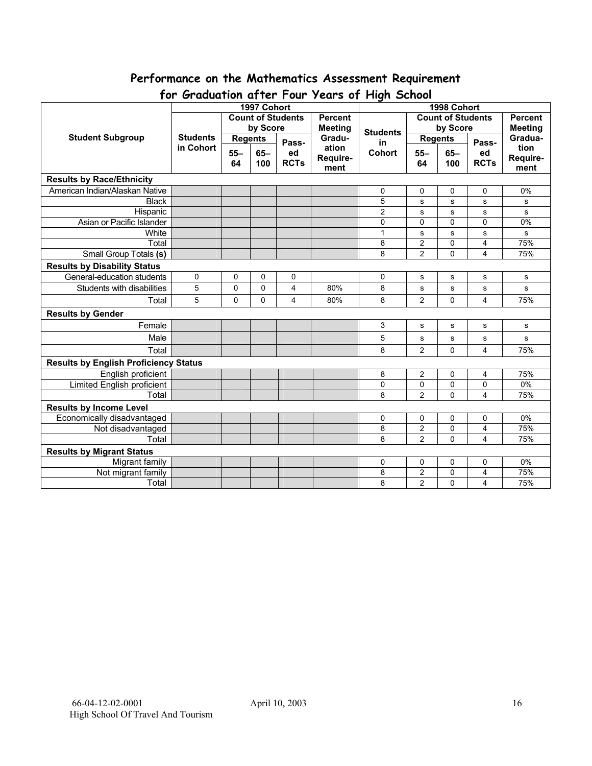## **Performance on the Mathematics Assessment Requirement**

| יש ו<br><b>U</b> GUUUTTUR UTTEL TUUT<br>$1$ cuts by the stream $\sim$<br>1997 Cohort<br>1998 Cohort |                 |                                      |             |                          |                  |                          |                |             |                         |              |
|-----------------------------------------------------------------------------------------------------|-----------------|--------------------------------------|-------------|--------------------------|------------------|--------------------------|----------------|-------------|-------------------------|--------------|
|                                                                                                     |                 |                                      |             |                          | <b>Percent</b>   | <b>Count of Students</b> |                |             | <b>Percent</b>          |              |
|                                                                                                     |                 | <b>Count of Students</b><br>by Score |             |                          |                  |                          | by Score       |             | <b>Meeting</b>          |              |
| <b>Student Subgroup</b>                                                                             | <b>Students</b> |                                      |             | <b>Meeting</b><br>Gradu- | <b>Students</b>  | <b>Regents</b>           |                |             | Gradua-                 |              |
|                                                                                                     | in Cohort       | <b>Regents</b>                       |             | Pass-                    | ation            | in                       |                |             | Pass-                   | tion         |
|                                                                                                     |                 | $55 -$                               | $65 -$      | ed                       |                  | <b>Cohort</b>            | $55 -$         | $65-$       | ed                      | Require-     |
|                                                                                                     |                 | 64                                   | 100         | <b>RCTs</b>              | Require-<br>ment |                          | 64             | 100         | <b>RCTs</b>             | ment         |
| <b>Results by Race/Ethnicity</b>                                                                    |                 |                                      |             |                          |                  |                          |                |             |                         |              |
| American Indian/Alaskan Native                                                                      |                 |                                      |             |                          |                  | 0                        | 0              | 0           | 0                       | 0%           |
| <b>Black</b>                                                                                        |                 |                                      |             |                          |                  | 5                        | s              | s           | $\mathbf{s}$            | s            |
| Hispanic                                                                                            |                 |                                      |             |                          |                  | $\overline{2}$           | s              | s           | ${\bf s}$               | $\mathbf{s}$ |
| Asian or Pacific Islander                                                                           |                 |                                      |             |                          |                  | 0                        | $\mathbf{0}$   | 0           | 0                       | 0%           |
| White                                                                                               |                 |                                      |             |                          |                  | $\mathbf{1}$             | s              | s           | s                       | s            |
| Total                                                                                               |                 |                                      |             |                          |                  | 8                        | $\overline{2}$ | 0           | $\overline{\mathbf{4}}$ | 75%          |
| Small Group Totals (s)                                                                              |                 |                                      |             |                          |                  | 8                        | $\overline{2}$ | 0           | 4                       | 75%          |
| <b>Results by Disability Status</b>                                                                 |                 |                                      |             |                          |                  |                          |                |             |                         |              |
| General-education students                                                                          | 0               | 0                                    | 0           | 0                        |                  | 0                        | s              | s           | s                       | s            |
| Students with disabilities                                                                          | 5               | $\mathbf 0$                          | $\mathbf 0$ | 4                        | 80%              | 8                        | $\mathbf s$    | ${\bf s}$   | s                       | ${\bf s}$    |
| Total                                                                                               | 5               | 0                                    | 0           | 4                        | 80%              | 8                        | $\overline{2}$ | 0           | $\overline{4}$          | 75%          |
| <b>Results by Gender</b>                                                                            |                 |                                      |             |                          |                  |                          |                |             |                         |              |
| Female                                                                                              |                 |                                      |             |                          |                  | 3                        | s              | s           | s                       | s            |
| Male                                                                                                |                 |                                      |             |                          |                  | 5                        | s              | s           | $\mathbf s$             | s            |
| Total                                                                                               |                 |                                      |             |                          |                  | 8                        | 2              | $\Omega$    | $\overline{4}$          | 75%          |
| <b>Results by English Proficiency Status</b>                                                        |                 |                                      |             |                          |                  |                          |                |             |                         |              |
| English proficient                                                                                  |                 |                                      |             |                          |                  | 8                        | $\overline{2}$ | 0           | 4                       | 75%          |
| <b>Limited English proficient</b>                                                                   |                 |                                      |             |                          |                  | $\mathbf 0$              | $\mathbf 0$    | 0           | 0                       | 0%           |
| Total                                                                                               |                 |                                      |             |                          |                  | 8                        | $\overline{2}$ | $\mathbf 0$ | 4                       | 75%          |
| <b>Results by Income Level</b>                                                                      |                 |                                      |             |                          |                  |                          |                |             |                         |              |
| Economically disadvantaged                                                                          |                 |                                      |             |                          |                  | 0                        | $\mathbf 0$    | 0           | 0                       | 0%           |
| Not disadvantaged                                                                                   |                 |                                      |             |                          |                  | 8                        | $\overline{2}$ | 0           | 4                       | 75%          |
| Total                                                                                               |                 |                                      |             |                          |                  | 8                        | $\overline{2}$ | 0           | $\overline{\mathbf{4}}$ | 75%          |
| <b>Results by Migrant Status</b>                                                                    |                 |                                      |             |                          |                  |                          |                |             |                         |              |
| Migrant family                                                                                      |                 |                                      |             |                          |                  | 0                        | 0              | 0           | 0                       | 0%           |
| Not migrant family                                                                                  |                 |                                      |             |                          |                  | 8                        | $\overline{c}$ | 0           | 4                       | 75%          |
| Total                                                                                               |                 |                                      |             |                          |                  | 8                        | $\overline{2}$ | 0           | 4                       | 75%          |

### **for Graduation after Four Years of High School**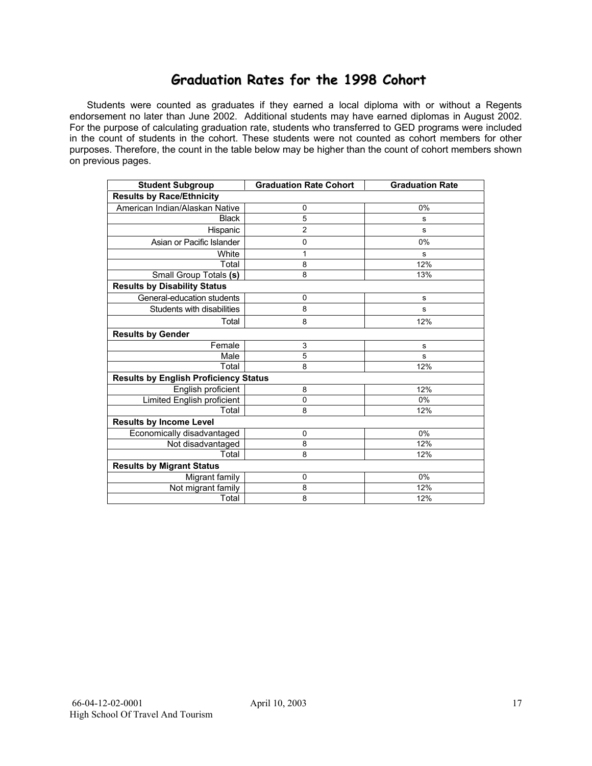### **Graduation Rates for the 1998 Cohort**

 Students were counted as graduates if they earned a local diploma with or without a Regents endorsement no later than June 2002. Additional students may have earned diplomas in August 2002. For the purpose of calculating graduation rate, students who transferred to GED programs were included in the count of students in the cohort. These students were not counted as cohort members for other purposes. Therefore, the count in the table below may be higher than the count of cohort members shown on previous pages.

| <b>Student Subgroup</b>                      | <b>Graduation Rate Cohort</b> | <b>Graduation Rate</b> |  |  |  |  |  |
|----------------------------------------------|-------------------------------|------------------------|--|--|--|--|--|
| <b>Results by Race/Ethnicity</b>             |                               |                        |  |  |  |  |  |
| American Indian/Alaskan Native               | $\mathbf 0$                   | 0%                     |  |  |  |  |  |
| <b>Black</b>                                 | 5                             | s                      |  |  |  |  |  |
| Hispanic                                     | $\overline{2}$                | s                      |  |  |  |  |  |
| Asian or Pacific Islander                    | $\mathbf 0$                   | 0%                     |  |  |  |  |  |
| White                                        | 1                             | s                      |  |  |  |  |  |
| Total                                        | 8                             | 12%                    |  |  |  |  |  |
| Small Group Totals (s)                       | 8                             | 13%                    |  |  |  |  |  |
| <b>Results by Disability Status</b>          |                               |                        |  |  |  |  |  |
| General-education students                   | 0                             | s                      |  |  |  |  |  |
| Students with disabilities                   | 8                             | s                      |  |  |  |  |  |
| Total                                        | 8                             | 12%                    |  |  |  |  |  |
| <b>Results by Gender</b>                     |                               |                        |  |  |  |  |  |
| Female                                       | 3                             | s                      |  |  |  |  |  |
| Male                                         | 5                             | s                      |  |  |  |  |  |
| Total                                        | 8                             | 12%                    |  |  |  |  |  |
| <b>Results by English Proficiency Status</b> |                               |                        |  |  |  |  |  |
| English proficient                           | 8                             | 12%                    |  |  |  |  |  |
| <b>Limited English proficient</b>            | 0                             | 0%                     |  |  |  |  |  |
| Total                                        | 8                             | 12%                    |  |  |  |  |  |
| <b>Results by Income Level</b>               |                               |                        |  |  |  |  |  |
| Economically disadvantaged                   | 0                             | 0%                     |  |  |  |  |  |
| Not disadvantaged                            | 8                             | 12%                    |  |  |  |  |  |
| Total                                        | 8                             | 12%                    |  |  |  |  |  |
| <b>Results by Migrant Status</b>             |                               |                        |  |  |  |  |  |
| Migrant family                               | $\mathbf 0$                   | 0%                     |  |  |  |  |  |
| Not migrant family                           | 8                             | 12%                    |  |  |  |  |  |
| Total                                        | 8                             | 12%                    |  |  |  |  |  |